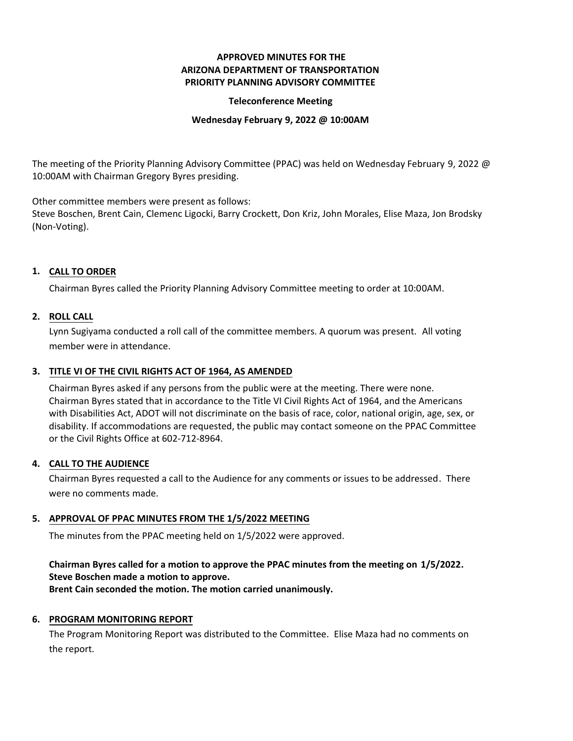# **APPROVED MINUTES FOR THE ARIZONA DEPARTMENT OF TRANSPORTATION PRIORITY PLANNING ADVISORY COMMITTEE**

## **Teleconference Meeting**

### **Wednesday February 9, 2022 @ 10:00AM**

The meeting of the Priority Planning Advisory Committee (PPAC) was held on Wednesday February 9, 2022 @ 10:00AM with Chairman Gregory Byres presiding.

Other committee members were present as follows:

Steve Boschen, Brent Cain, Clemenc Ligocki, Barry Crockett, Don Kriz, John Morales, Elise Maza, Jon Brodsky (Non-Voting).

# **CALL TO ORDER 1.**

Chairman Byres called the Priority Planning Advisory Committee meeting to order at 10:00AM.

## **ROLL CALL 2.**

Lynn Sugiyama conducted a roll call of the committee members. A quorum was present. All voting member were in attendance.

# **TITLE VI OF THE CIVIL RIGHTS ACT OF 1964, AS AMENDED 3.**

Chairman Byres asked if any persons from the public were at the meeting. There were none. Chairman Byres stated that in accordance to the Title VI Civil Rights Act of 1964, and the Americans with Disabilities Act, ADOT will not discriminate on the basis of race, color, national origin, age, sex, or disability. If accommodations are requested, the public may contact someone on the PPAC Committee or the Civil Rights Office at 602-712-8964.

### **CALL TO THE AUDIENCE 4.**

Chairman Byres requested a call to the Audience for any comments or issues to be addressed. There were no comments made.

## **APPROVAL OF PPAC MINUTES FROM THE 1/5/2022 MEETING 5.**

The minutes from the PPAC meeting held on 1/5/2022 were approved.

# **Chairman Byres called for a motion to approve the PPAC minutes from the meeting on 1/5/2022. Steve Boschen made a motion to approve.**

**Brent Cain seconded the motion. The motion carried unanimously.**

## **6. PROGRAM MONITORING REPORT**

The Program Monitoring Report was distributed to the Committee. Elise Maza had no comments on the report.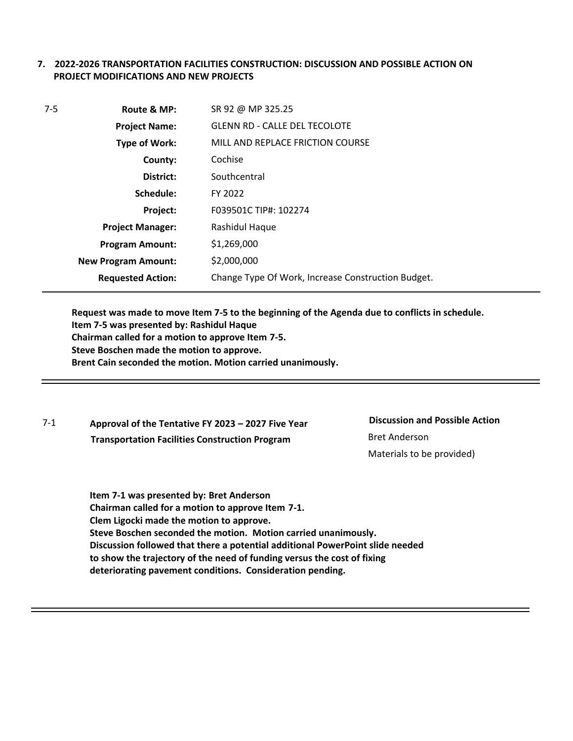# **7. 2022-2026 TRANSPORTATION FACILITIES CONSTRUCTION: DISCUSSION AND POSSIBLE ACTION ON PROJECT MODIFICATIONS AND NEW PROJECTS**

| $7 - 5$<br>Route & MP:<br><b>Project Name:</b>  |                            | SR 92 @ MP 325.25                                  |  |
|-------------------------------------------------|----------------------------|----------------------------------------------------|--|
|                                                 |                            | <b>GLENN RD - CALLE DEL TECOLOTE</b>               |  |
|                                                 | Type of Work:              | MILL AND REPLACE FRICTION COURSE                   |  |
| Cochise<br>County:<br>Southcentral<br>District: |                            |                                                    |  |
|                                                 |                            |                                                    |  |
|                                                 | Schedule:                  | FY 2022                                            |  |
|                                                 | Project:                   | F039501C TIP#: 102274                              |  |
| Rashidul Haque<br><b>Project Manager:</b>       |                            |                                                    |  |
|                                                 | <b>Program Amount:</b>     | \$1,269,000                                        |  |
|                                                 | <b>New Program Amount:</b> | \$2,000,000                                        |  |
|                                                 | <b>Requested Action:</b>   | Change Type Of Work, Increase Construction Budget. |  |

**Request was made to move Item 7-5 to the beginning of the Agenda due to conflicts in schedule. Item 7-5 was presented by: Rashidul Haque Chairman called for a motion to approve Item 7-5. Steve Boschen made the motion to approve. Brent Cain seconded the motion. Motion carried unanimously.**

7-1 **Approval of the Tentative FY 2023 – 2027 Five Year Transportation Facilities Construction Program**

**Discussion and Possible Action** Bret Anderson Materials to be provided)

**Item 7-1 was presented by: Bret Anderson Chairman called for a motion to approve Item 7-1. Clem Ligocki made the motion to approve. Steve Boschen seconded the motion. Motion carried unanimously. Discussion followed that there a potential additional PowerPoint slide needed to show the trajectory of the need of funding versus the cost of fixing deteriorating pavement conditions. Consideration pending.**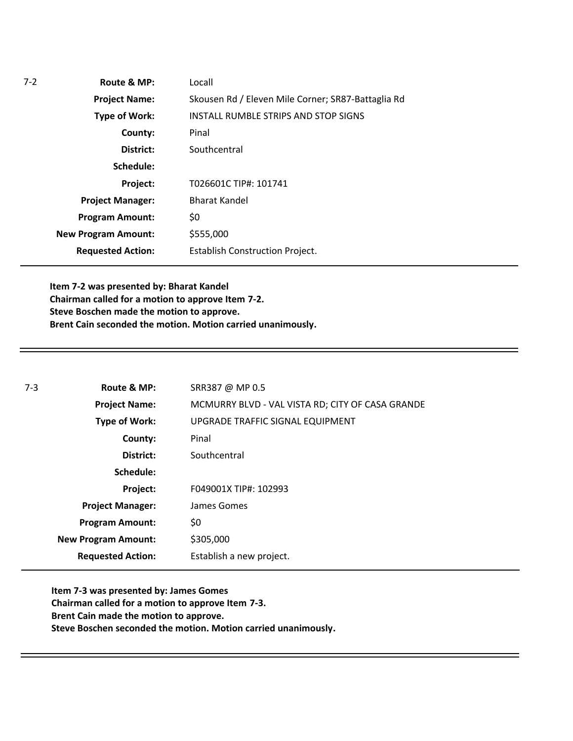| $7 - 2$ | Route & MP:                | Locall                                             |  |
|---------|----------------------------|----------------------------------------------------|--|
|         | <b>Project Name:</b>       | Skousen Rd / Eleven Mile Corner; SR87-Battaglia Rd |  |
|         | Type of Work:              | INSTALL RUMBLE STRIPS AND STOP SIGNS               |  |
|         | County:                    | Pinal                                              |  |
|         | District:                  | Southcentral                                       |  |
|         | Schedule:                  |                                                    |  |
|         | Project:                   | T026601C TIP#: 101741                              |  |
|         | <b>Project Manager:</b>    | <b>Bharat Kandel</b>                               |  |
|         | <b>Program Amount:</b>     | \$0                                                |  |
|         | <b>New Program Amount:</b> | \$555,000                                          |  |
|         | <b>Requested Action:</b>   | <b>Establish Construction Project.</b>             |  |

**Item 7-2 was presented by: Bharat Kandel Chairman called for a motion to approve Item 7-2. Steve Boschen made the motion to approve. Brent Cain seconded the motion. Motion carried unanimously.**

| 7-3 | Route & MP:                | SRR387 @ MP 0.5                                  |
|-----|----------------------------|--------------------------------------------------|
|     | <b>Project Name:</b>       | MCMURRY BLVD - VAL VISTA RD; CITY OF CASA GRANDE |
|     | <b>Type of Work:</b>       | UPGRADE TRAFFIC SIGNAL EQUIPMENT                 |
|     | County:                    | Pinal                                            |
|     | District:                  | Southcentral                                     |
|     | Schedule:                  |                                                  |
|     | Project:                   | F049001X TIP#: 102993                            |
|     | <b>Project Manager:</b>    | James Gomes                                      |
|     | <b>Program Amount:</b>     | \$0                                              |
|     | <b>New Program Amount:</b> | \$305,000                                        |
|     | <b>Requested Action:</b>   | Establish a new project.                         |

**Item 7-3 was presented by: James Gomes Chairman called for a motion to approve Item 7-3. Brent Cain made the motion to approve. Steve Boschen seconded the motion. Motion carried unanimously.**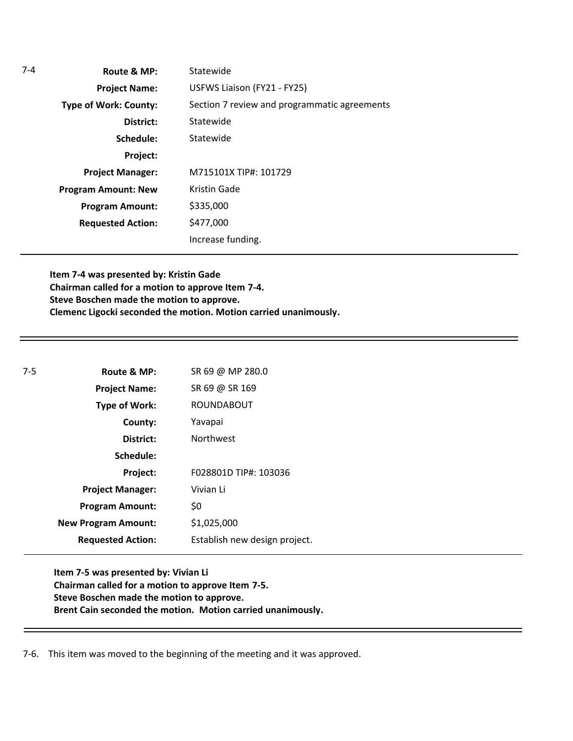| $7-4$ | Route & MP:                  | Statewide                                    |
|-------|------------------------------|----------------------------------------------|
|       | <b>Project Name:</b>         | USFWS Liaison (FY21 - FY25)                  |
|       | <b>Type of Work: County:</b> | Section 7 review and programmatic agreements |
|       | District:                    | Statewide                                    |
|       | Schedule:                    | Statewide                                    |
|       | Project:                     |                                              |
|       | <b>Project Manager:</b>      | M715101X TIP#: 101729                        |
|       | <b>Program Amount: New</b>   | <b>Kristin Gade</b>                          |
|       | <b>Program Amount:</b>       | \$335,000                                    |
|       | <b>Requested Action:</b>     | \$477,000                                    |
|       |                              | Increase funding.                            |

**Item 7-4 was presented by: Kristin Gade Chairman called for a motion to approve Item 7-4. Steve Boschen made the motion to approve. Clemenc Ligocki seconded the motion. Motion carried unanimously.**

| $7-5$ | Route & MP:                | SR 69 @ MP 280.0              |
|-------|----------------------------|-------------------------------|
|       | <b>Project Name:</b>       | SR 69 @ SR 169                |
|       | <b>Type of Work:</b>       | <b>ROUNDABOUT</b>             |
|       | County:                    | Yavapai                       |
|       | District:                  | <b>Northwest</b>              |
|       | Schedule:                  |                               |
|       | Project:                   | F028801D TIP#: 103036         |
|       | <b>Project Manager:</b>    | Vivian Li                     |
|       | <b>Program Amount:</b>     | \$0                           |
|       | <b>New Program Amount:</b> | \$1,025,000                   |
|       | <b>Requested Action:</b>   | Establish new design project. |

**Item 7-5 was presented by: Vivian Li Chairman called for a motion to approve Item 7-5. Steve Boschen made the motion to approve. Brent Cain seconded the motion. Motion carried unanimously.**

7-6. This item was moved to the beginning of the meeting and it was approved.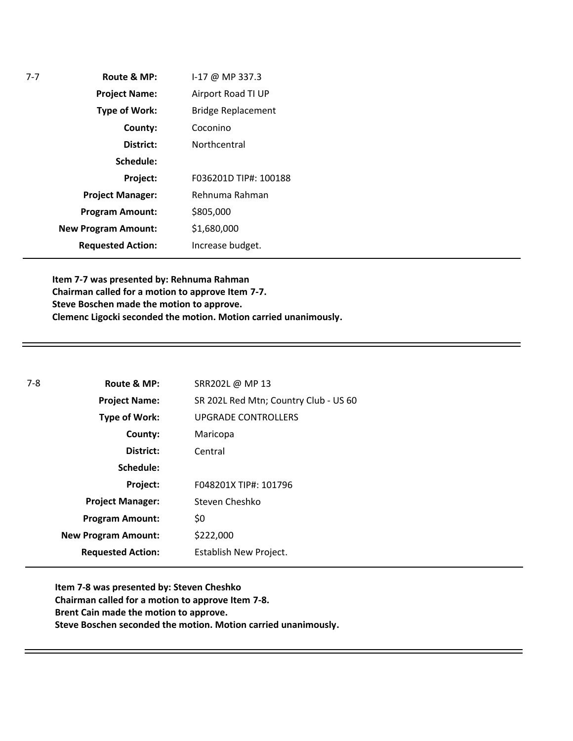| Route & MP:                | I-17 @ MP 337.3           |
|----------------------------|---------------------------|
| <b>Project Name:</b>       | Airport Road TI UP        |
| <b>Type of Work:</b>       | <b>Bridge Replacement</b> |
| County:                    | Coconino                  |
| District:                  | Northcentral              |
| Schedule:                  |                           |
| Project:                   | F036201D TIP#: 100188     |
| <b>Project Manager:</b>    | Rehnuma Rahman            |
| <b>Program Amount:</b>     | \$805,000                 |
| <b>New Program Amount:</b> | \$1,680,000               |
| <b>Requested Action:</b>   | Increase budget.          |

**Item 7-7 was presented by: Rehnuma Rahman Chairman called for a motion to approve Item 7-7. Steve Boschen made the motion to approve. Clemenc Ligocki seconded the motion. Motion carried unanimously.**

| $7-8$ | Route & MP:                | SRR202L @ MP 13                       |
|-------|----------------------------|---------------------------------------|
|       | <b>Project Name:</b>       | SR 202L Red Mtn; Country Club - US 60 |
|       | <b>Type of Work:</b>       | <b>UPGRADE CONTROLLERS</b>            |
|       | County:                    | Maricopa                              |
|       | District:                  | Central                               |
|       | Schedule:                  |                                       |
|       | <b>Project:</b>            | F048201X TIP#: 101796                 |
|       | <b>Project Manager:</b>    | Steven Cheshko                        |
|       | <b>Program Amount:</b>     | \$0                                   |
|       | <b>New Program Amount:</b> | \$222,000                             |
|       | <b>Requested Action:</b>   | Establish New Project.                |

**Item 7-8 was presented by: Steven Cheshko Chairman called for a motion to approve Item 7-8. Brent Cain made the motion to approve. Steve Boschen seconded the motion. Motion carried unanimously.**

7-7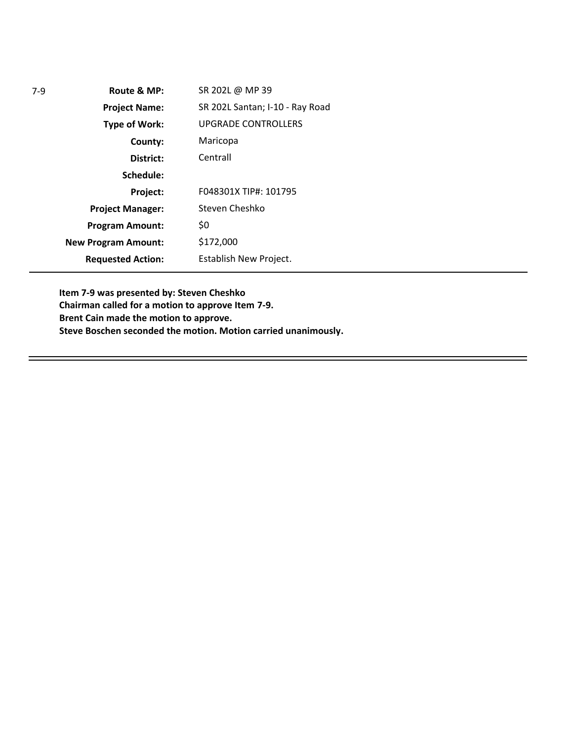| $7-9$ | Route & MP:                | SR 202L @ MP 39                 |
|-------|----------------------------|---------------------------------|
|       | <b>Project Name:</b>       | SR 202L Santan; I-10 - Ray Road |
|       | <b>Type of Work:</b>       | <b>UPGRADE CONTROLLERS</b>      |
|       | County:                    | Maricopa                        |
|       | District:                  | Centrall                        |
|       | Schedule:                  |                                 |
|       | Project:                   | F048301X TIP#: 101795           |
|       | <b>Project Manager:</b>    | Steven Cheshko                  |
|       | <b>Program Amount:</b>     | \$0                             |
|       | <b>New Program Amount:</b> | \$172,000                       |
|       | <b>Requested Action:</b>   | Establish New Project.          |

**Item 7-9 was presented by: Steven Cheshko Chairman called for a motion to approve Item 7-9. Brent Cain made the motion to approve. Steve Boschen seconded the motion. Motion carried unanimously.**